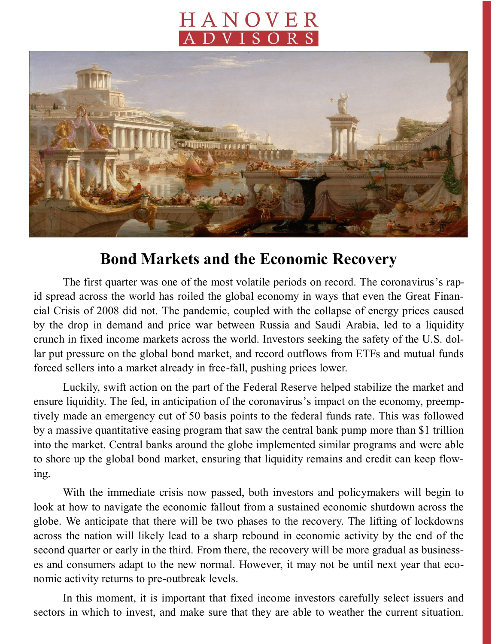## HANOVER **DVISORS**



## **Bond Markets and the Economic Recovery**

The first quarter was one of the most volatile periods on record. The coronavirus's rapid spread across the world has roiled the global economy in ways that even the Great Financial Crisis of 2008 did not. The pandemic, coupled with the collapse of energy prices caused by the drop in demand and price war between Russia and Saudi Arabia, led to a liquidity crunch in fixed income markets across the world. Investors seeking the safety of the U.S. dollar put pressure on the global bond market, and record outflows from ETFs and mutual funds forced sellers into a market already in free-fall, pushing prices lower.

Luckily, swift action on the part of the Federal Reserve helped stabilize the market and ensure liquidity. The fed, in anticipation of the coronavirus's impact on the economy, preemptively made an emergency cut of 50 basis points to the federal funds rate. This was followed by a massive quantitative easing program that saw the central bank pump more than \$1 trillion into the market. Central banks around the globe implemented similar programs and were able to shore up the global bond market, ensuring that liquidity remains and credit can keep flowing.

With the immediate crisis now passed, both investors and policymakers will begin to look at how to navigate the economic fallout from a sustained economic shutdown across the globe. We anticipate that there will be two phases to the recovery. The lifting of lockdowns across the nation will likely lead to a sharp rebound in economic activity by the end of the second quarter or early in the third. From there, the recovery will be more gradual as businesses and consumers adapt to the new normal. However, it may not be until next year that economic activity returns to pre-outbreak levels.

In this moment, it is important that fixed income investors carefully select issuers and sectors in which to invest, and make sure that they are able to weather the current situation.